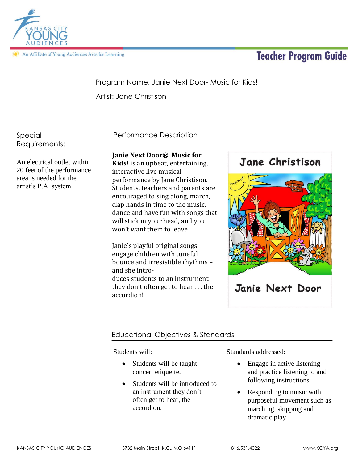

An Affiliate of Young Audiences Arts for Learning

# **Teacher Program Guide**

# Program Name: Janie Next Door- Music for Kids!

Artist: Jane Christison

Special Requirements:

An electrical outlet within 20 feet of the performance area is needed for the artist's P.A. system.

## Performance Description

## **Janie Next Door® Music for**

**Kids!** is an upbeat, entertaining, interactive live musical performance by Jane Christison. Students, teachers and parents are encouraged to sing along, march, clap hands in time to the music, dance and have fun with songs that will stick in your head, and you won't want them to leave.

Janie's playful original songs engage children with tuneful bounce and irresistible rhythms – and she introduces students to an instrument they don't often get to hear . . . the accordion!



## Educational Objectives & Standards

Students will:

- Students will be taught concert etiquette.
- Students will be introduced to an instrument they don't often get to hear, the accordion.

Standards addressed:

- Engage in active listening and practice listening to and following instructions
- Responding to music with purposeful movement such as marching, skipping and dramatic play